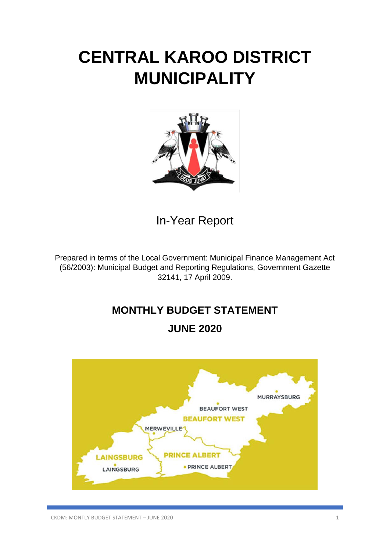# **CENTRAL KAROO DISTRICT MUNICIPALITY**



In-Year Report

Prepared in terms of the Local Government: Municipal Finance Management Act (56/2003): Municipal Budget and Reporting Regulations, Government Gazette 32141, 17 April 2009.

# **MONTHLY BUDGET STATEMENT**

# **JUNE 2020**

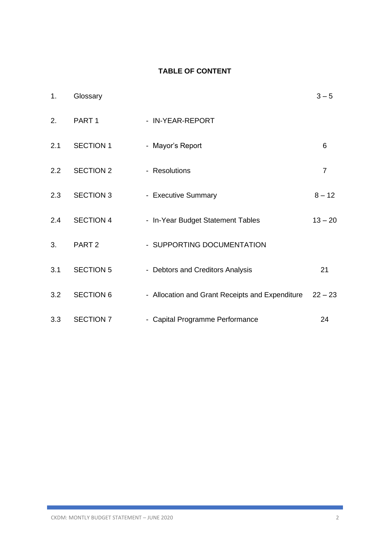### **TABLE OF CONTENT**

| 1.            | Glossary          |                                                 | $3 - 5$        |
|---------------|-------------------|-------------------------------------------------|----------------|
| 2.            | PART <sub>1</sub> | - IN-YEAR-REPORT                                |                |
| 2.1           | <b>SECTION 1</b>  | - Mayor's Report                                | 6              |
| $2.2^{\circ}$ | <b>SECTION 2</b>  | - Resolutions                                   | $\overline{7}$ |
| 2.3           | <b>SECTION 3</b>  | - Executive Summary                             | $8 - 12$       |
| 2.4           | <b>SECTION 4</b>  | - In-Year Budget Statement Tables               | $13 - 20$      |
| 3.            | PART <sub>2</sub> | - SUPPORTING DOCUMENTATION                      |                |
| 3.1           | <b>SECTION 5</b>  | - Debtors and Creditors Analysis                | 21             |
| 3.2           | <b>SECTION 6</b>  | - Allocation and Grant Receipts and Expenditure | $22 - 23$      |
| 3.3           | <b>SECTION 7</b>  | - Capital Programme Performance                 | 24             |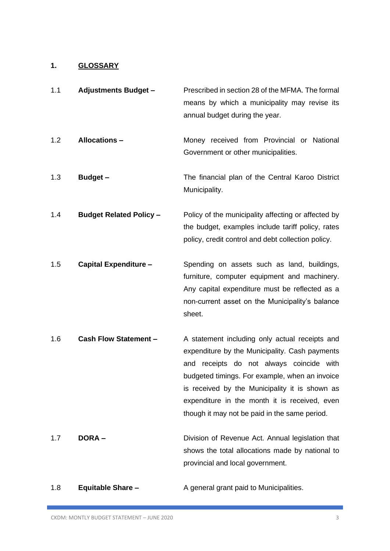# **1. GLOSSARY**

| 1.1 | <b>Adjustments Budget -</b>    | Prescribed in section 28 of the MFMA. The formal<br>means by which a municipality may revise its<br>annual budget during the year.                                                                                                                                                                                                                    |
|-----|--------------------------------|-------------------------------------------------------------------------------------------------------------------------------------------------------------------------------------------------------------------------------------------------------------------------------------------------------------------------------------------------------|
| 1.2 | <b>Allocations -</b>           | Money received from Provincial or National<br>Government or other municipalities.                                                                                                                                                                                                                                                                     |
| 1.3 | Budget-                        | The financial plan of the Central Karoo District<br>Municipality.                                                                                                                                                                                                                                                                                     |
| 1.4 | <b>Budget Related Policy -</b> | Policy of the municipality affecting or affected by<br>the budget, examples include tariff policy, rates<br>policy, credit control and debt collection policy.                                                                                                                                                                                        |
| 1.5 | <b>Capital Expenditure -</b>   | Spending on assets such as land, buildings,<br>furniture, computer equipment and machinery.<br>Any capital expenditure must be reflected as a<br>non-current asset on the Municipality's balance<br>sheet.                                                                                                                                            |
| 1.6 | <b>Cash Flow Statement -</b>   | A statement including only actual receipts and<br>expenditure by the Municipality. Cash payments<br>receipts do not always coincide with<br>and<br>budgeted timings. For example, when an invoice<br>is received by the Municipality it is shown as<br>expenditure in the month it is received, even<br>though it may not be paid in the same period. |
| 1.7 | <b>DORA-</b>                   | Division of Revenue Act. Annual legislation that<br>shows the total allocations made by national to<br>provincial and local government.                                                                                                                                                                                                               |

1.8 **Equitable Share –** A general grant paid to Municipalities.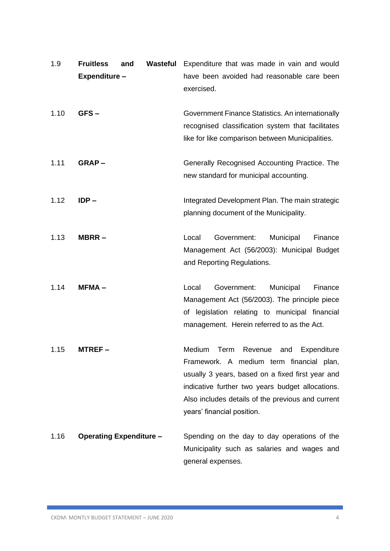| 1.9  | <b>Fruitless</b><br>Expenditure - | and | Wasteful | Expenditure that was made in vain and would<br>have been avoided had reasonable care been<br>exercised.                                                                                                                                                                          |
|------|-----------------------------------|-----|----------|----------------------------------------------------------------------------------------------------------------------------------------------------------------------------------------------------------------------------------------------------------------------------------|
| 1.10 | GFS-                              |     |          | Government Finance Statistics. An internationally<br>recognised classification system that facilitates<br>like for like comparison between Municipalities.                                                                                                                       |
| 1.11 | $GRAP -$                          |     |          | Generally Recognised Accounting Practice. The<br>new standard for municipal accounting.                                                                                                                                                                                          |
| 1.12 | $IDP -$                           |     |          | Integrated Development Plan. The main strategic<br>planning document of the Municipality.                                                                                                                                                                                        |
| 1.13 | MBRR-                             |     |          | Local<br>Government:<br>Municipal<br>Finance<br>Management Act (56/2003): Municipal Budget<br>and Reporting Regulations.                                                                                                                                                         |
| 1.14 | $MFMA -$                          |     |          | Government:<br>Local<br>Municipal<br>Finance<br>Management Act (56/2003). The principle piece<br>of legislation relating to municipal financial<br>management. Herein referred to as the Act.                                                                                    |
| 1.15 | MTREF –                           |     |          | Term Revenue and<br>Expenditure<br>Medium<br>Framework. A medium term financial plan,<br>usually 3 years, based on a fixed first year and<br>indicative further two years budget allocations.<br>Also includes details of the previous and current<br>years' financial position. |
| 1.16 | <b>Operating Expenditure -</b>    |     |          | Spending on the day to day operations of the<br>Municipality such as salaries and wages and<br>general expenses.                                                                                                                                                                 |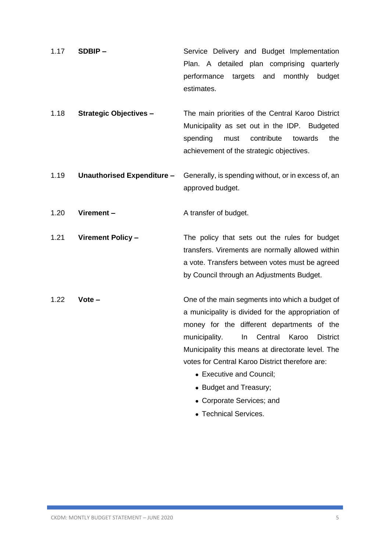- 1.17 **SDBIP –** Service Delivery and Budget Implementation Plan. A detailed plan comprising quarterly performance targets and monthly budget estimates.
- 1.18 **Strategic Objectives –** The main priorities of the Central Karoo District Municipality as set out in the IDP. Budgeted spending must contribute towards the achievement of the strategic objectives.
- 1.19 **Unauthorised Expenditure –** Generally, is spending without, or in excess of, an approved budget.

1.20 **Virement –** A transfer of budget.

1.21 **Virement Policy –** The policy that sets out the rules for budget transfers. Virements are normally allowed within a vote. Transfers between votes must be agreed by Council through an Adjustments Budget.

- 1.22 **Vote –** One of the main segments into which a budget of a municipality is divided for the appropriation of money for the different departments of the municipality. In Central Karoo District Municipality this means at directorate level. The votes for Central Karoo District therefore are:
	- Executive and Council:
	- Budget and Treasury;
	- Corporate Services; and
	- Technical Services.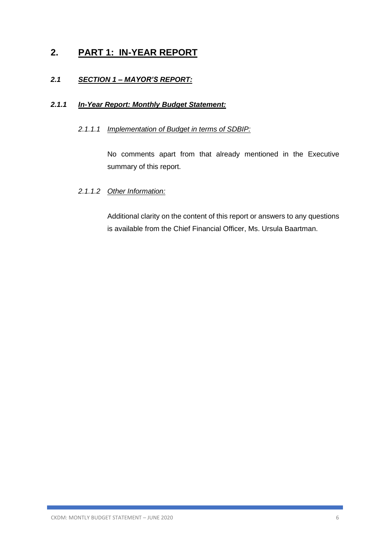# **2. PART 1: IN-YEAR REPORT**

### *2.1 SECTION 1 – MAYOR'S REPORT:*

### *2.1.1 In-Year Report: Monthly Budget Statement:*

### *2.1.1.1 Implementation of Budget in terms of SDBIP:*

No comments apart from that already mentioned in the Executive summary of this report.

### *2.1.1.2 Other Information:*

Additional clarity on the content of this report or answers to any questions is available from the Chief Financial Officer, Ms. Ursula Baartman.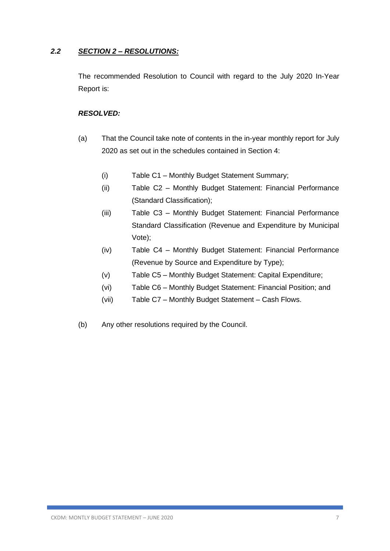### *2.2 SECTION 2 – RESOLUTIONS:*

The recommended Resolution to Council with regard to the July 2020 In-Year Report is:

### *RESOLVED:*

- (a) That the Council take note of contents in the in-year monthly report for July 2020 as set out in the schedules contained in Section 4:
	- (i) Table C1 Monthly Budget Statement Summary;
	- (ii) Table C2 Monthly Budget Statement: Financial Performance (Standard Classification);
	- (iii) Table C3 Monthly Budget Statement: Financial Performance Standard Classification (Revenue and Expenditure by Municipal Vote);
	- (iv) Table C4 Monthly Budget Statement: Financial Performance (Revenue by Source and Expenditure by Type);
	- (v) Table C5 Monthly Budget Statement: Capital Expenditure;
	- (vi) Table C6 Monthly Budget Statement: Financial Position; and
	- (vii) Table C7 Monthly Budget Statement Cash Flows.
- (b) Any other resolutions required by the Council.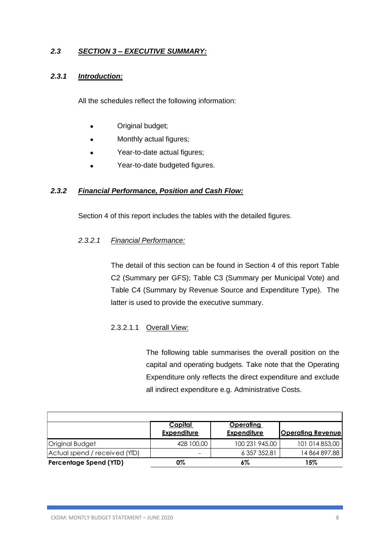### *2.3 SECTION 3 – EXECUTIVE SUMMARY:*

### *2.3.1 Introduction:*

All the schedules reflect the following information:

- Original budget;
- Monthly actual figures;
- Year-to-date actual figures;
- Year-to-date budgeted figures.

### *2.3.2 Financial Performance, Position and Cash Flow:*

Section 4 of this report includes the tables with the detailed figures.

### *2.3.2.1 Financial Performance:*

The detail of this section can be found in Section 4 of this report Table C2 (Summary per GFS); Table C3 (Summary per Municipal Vote) and Table C4 (Summary by Revenue Source and Expenditure Type). The latter is used to provide the executive summary.

### 2.3.2.1.1 Overall View:

The following table summarises the overall position on the capital and operating budgets. Take note that the Operating Expenditure only reflects the direct expenditure and exclude all indirect expenditure e.g. Administrative Costs.

|                               | <u>Capital</u><br><b>Expenditure</b> | <u>Operating</u><br><b>Expenditure</b> | <b>Operating Revenue</b> |
|-------------------------------|--------------------------------------|----------------------------------------|--------------------------|
| Original Budget               | 428 100,00                           | 100 231 945,00                         | 101 014 853,00           |
| Actual spend / received (YID) | -                                    | 6 357 352,81                           | 14 864 897,88            |
| <b>Percentage Spend (YTD)</b> | 0%                                   | 6%                                     | 15%                      |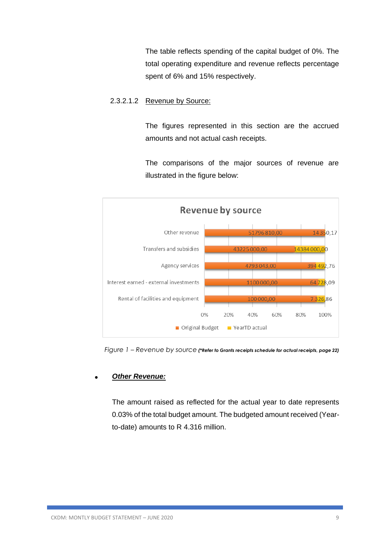The table reflects spending of the capital budget of 0%. The total operating expenditure and revenue reflects percentage spent of 6% and 15% respectively.

### 2.3.2.1.2 Revenue by Source:

The figures represented in this section are the accrued amounts and not actual cash receipts.

The comparisons of the major sources of revenue are illustrated in the figure below:



 *Figure 1 – Revenue by source (\*Refer to Grants receipts schedule for actual receipts, page 22)*

### • *Other Revenue:*

The amount raised as reflected for the actual year to date represents 0.03% of the total budget amount. The budgeted amount received (Yearto-date) amounts to R 4.316 million.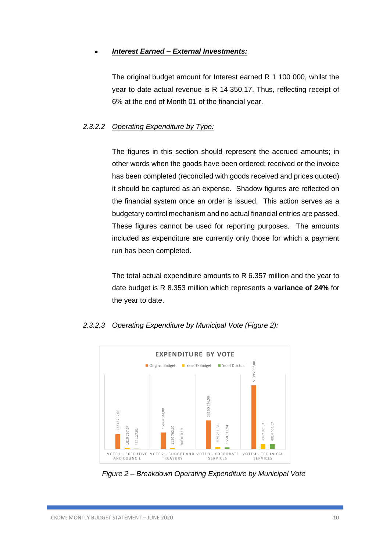### • *Interest Earned – External Investments:*

The original budget amount for Interest earned R 1 100 000, whilst the year to date actual revenue is R 14 350.17. Thus, reflecting receipt of 6% at the end of Month 01 of the financial year.

### *2.3.2.2 Operating Expenditure by Type:*

The figures in this section should represent the accrued amounts; in other words when the goods have been ordered; received or the invoice has been completed (reconciled with goods received and prices quoted) it should be captured as an expense. Shadow figures are reflected on the financial system once an order is issued. This action serves as a budgetary control mechanism and no actual financial entries are passed. These figures cannot be used for reporting purposes. The amounts included as expenditure are currently only those for which a payment run has been completed.

The total actual expenditure amounts to R 6.357 million and the year to date budget is R 8.353 million which represents a **variance of 24%** for the year to date.



### *2.3.2.3 Operating Expenditure by Municipal Vote (Figure 2):*

*Figure 2 – Breakdown Operating Expenditure by Municipal Vote*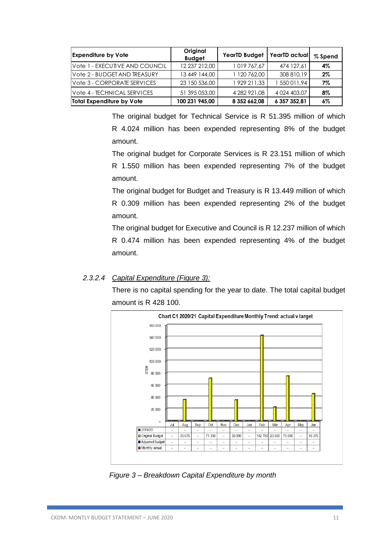| <b>Expenditure by Vote</b>     | Original<br><b>Budget</b> | YearTD Budget   YearTD actual |                    | % Spend |
|--------------------------------|---------------------------|-------------------------------|--------------------|---------|
| Vote 1 - EXECUTIVE AND COUNCIL | 12 237 212,00             | 1019767,67                    | 474 127,61         | 4%      |
| Vote 2 - BUDGET AND TREASURY   | 13 449 144,00             | 1 120 762.00                  | 308 810.19         | $2\%$   |
| Vote 3 - CORPORATE SERVICES    | 23 150 536,00             | 1 929 211.33                  | 1 550 011.94       | 7%      |
| Vote 4 - TECHNICAL SERVICES    | 51 395 053,00             | 4 282 921.08                  | 4 0 24 4 0 3 , 0 7 | 8%      |
| Total Expenditure by Vote      | 100 231 945.00            | 8 352 662,08                  | 6 357 352,81       | $6\%$   |

The original budget for Technical Service is R 51.395 million of which R 4.024 million has been expended representing 8% of the budget amount.

The original budget for Corporate Services is R 23.151 million of which R 1.550 million has been expended representing 7% of the budget amount.

The original budget for Budget and Treasury is R 13.449 million of which R 0.309 million has been expended representing 2% of the budget amount.

The original budget for Executive and Council is R 12.237 million of which R 0.474 million has been expended representing 4% of the budget amount.

### *2.3.2.4 Capital Expenditure (Figure 3):*

There is no capital spending for the year to date. The total capital budget amount is R 428 100.



 *Figure 3 – Breakdown Capital Expenditure by month*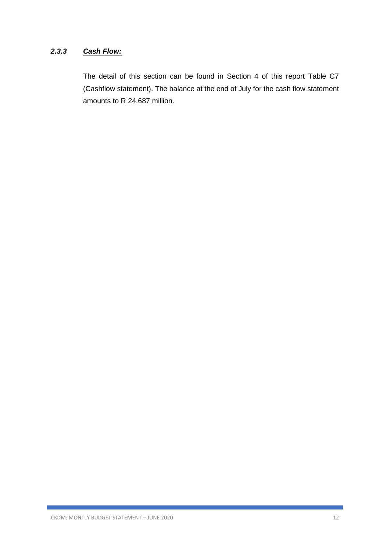### *2.3.3 Cash Flow:*

The detail of this section can be found in Section 4 of this report Table C7 (Cashflow statement). The balance at the end of July for the cash flow statement amounts to R 24.687 million.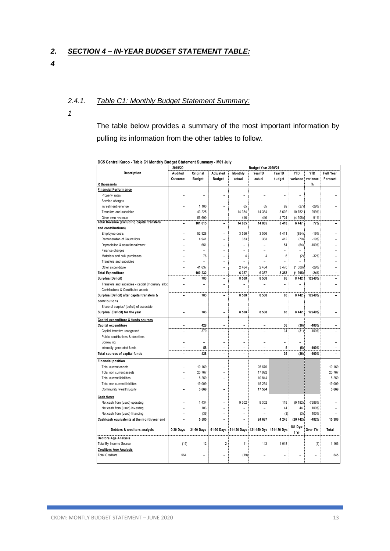#### *2. SECTION 4 – IN-YEAR BUDGET STATEMENT TABLE:*

*4*

#### *2.4.1. Table C1: Monthly Budget Statement Summary:*

*1*

The table below provides a summary of the most important information by pulling its information from the other tables to follow.

|                                                   | 2019/20                  |                |                          |                | Budget Year 2020/21      |             |                          |            |                  |
|---------------------------------------------------|--------------------------|----------------|--------------------------|----------------|--------------------------|-------------|--------------------------|------------|------------------|
| Description                                       | Audited                  | Original       | Adjusted                 | Monthly        | YearTD                   | YearTD      | <b>YTD</b>               | <b>YTD</b> | <b>Full Year</b> |
|                                                   | Outcome                  | <b>Budget</b>  | <b>Budget</b>            | actual         | actual                   | budget      | variance                 | variance   | Forecast         |
| R thousands                                       |                          |                |                          |                |                          |             |                          | %          |                  |
| <b>Financial Performance</b>                      |                          |                |                          |                |                          |             |                          |            |                  |
| Property rates                                    |                          |                |                          |                |                          |             | ۳                        |            |                  |
| Service charges                                   |                          | $\overline{a}$ | ۳                        | ٠              | ۰                        |             | $\overline{\phantom{a}}$ |            |                  |
| Investment revenue                                |                          | 1 100          |                          | 65             | 65                       | 92          | (27)                     | $-29%$     |                  |
| Transfers and subsidies                           | ٠                        | 43 225         | $\overline{a}$           | 14 384         | 14 3 84                  | 3 602       | 10 782                   | 299%       |                  |
| Other own revenue                                 | $\overline{a}$           | 56 690         | $\overline{a}$           | 416            | 416                      | 4 7 2 4     | (4308)                   | $-91%$     |                  |
| Total Revenue (excluding capital transfers        | ۰                        | 101 015        | -                        | 14 8 65        | 14 8 65                  | 8 4 1 8     | 6 4 4 7                  | 77%        |                  |
| and contributions)                                |                          |                |                          |                |                          |             |                          |            |                  |
| Employee costs                                    | L,                       | 52 928         | $\overline{a}$           | 3 5 5 6        | 3 5 5 6                  | 4411        | (854)                    | $-19%$     |                  |
| Remuneration of Councillors                       |                          | 4 9 4 1        | -                        | 333            | 333                      | 412         | (79)                     | $-19%$     |                  |
| Depreciation & asset impairment                   |                          | 651            | L                        | ۰              | ÷                        | 54          | (54)                     | $-100%$    |                  |
| Finance charges                                   |                          |                |                          |                |                          |             |                          |            |                  |
| Materials and bulk purchases                      |                          | 76             | -                        | 4              | 4                        | 6           | (2)                      | $-32%$     |                  |
| Transfers and subsidies                           |                          |                | ۳                        | ÷              |                          | ۰           | $\overline{a}$           |            |                  |
| Other expenditure                                 |                          | 41 637         | $\overline{a}$           | 2464           | 2 4 6 4                  | 3 4 7 0     | (1006)                   | $-29%$     |                  |
| <b>Total Expenditure</b>                          |                          | 100 232        | -                        | 6 3 5 7        | 6 3 5 7                  | 8 3 5 3     | (1995)                   | $-24%$     |                  |
| Surplus/(Deficit)                                 | ۰                        | 783            | ۳                        | 8 5 0 8        | 8 5 0 8                  | 65          | 8 4 4 2                  | 12940%     |                  |
| Transfers and subsidies - capital (monetary alloc | L.                       | $\overline{a}$ | $\overline{a}$           | L.             | L.                       | L.          | L                        |            |                  |
| Contributions & Contributed assets                | L.                       | $\overline{a}$ | -                        |                |                          | L           |                          |            |                  |
| Surplus/(Deficit) after capital transfers &       | ۰                        | 783            | ۳                        | 8 5 0 8        | 8 5 0 8                  | 65          | 8 4 4 2                  | 12940%     |                  |
| contributions                                     |                          |                |                          |                |                          |             |                          |            |                  |
| Share of surplus/ (deficit) of associate          |                          |                |                          |                |                          |             |                          |            |                  |
| Surplus/ (Deficit) for the year                   | ۰                        | 783            |                          | 8 5 0 8        | 8 5 0 8                  | 65          | 8 4 4 2                  | 12940%     |                  |
| Capital expenditure & funds sources               |                          |                |                          |                |                          |             |                          |            |                  |
| Capital expenditure                               | $\overline{\phantom{0}}$ | 428            | $\overline{\phantom{0}}$ | $\blacksquare$ | $\blacksquare$           | 36          | (36)                     | $-100%$    | ۰                |
| Capital transfers recognised                      | ۳                        | 370            | $\overline{a}$           | L.             | $\overline{\phantom{0}}$ | 31          | (31)                     | $-100%$    |                  |
| Public contributions & donations                  | $\overline{a}$           | $\overline{a}$ | $\overline{a}$           | $\overline{a}$ | $\overline{a}$           | L,          | $\overline{a}$           |            |                  |
|                                                   | ٠                        | $\overline{a}$ | $\overline{a}$           | ۰              | L.                       | ۳           | $\overline{a}$           |            |                  |
| Borrow ing                                        |                          | 58             | -                        | ۳              | ۰                        | 5           |                          | $-100%$    |                  |
| Internally generated funds                        | $\overline{\phantom{0}}$ | 428            |                          |                |                          | 36          | (5)                      | $-100%$    |                  |
| Total sources of capital funds                    |                          |                |                          |                |                          |             | (36)                     |            |                  |
| inancial position                                 |                          |                |                          |                |                          |             |                          |            |                  |
| Total current assets                              |                          | 10 169         |                          |                | 25 670                   |             |                          |            | 10 169           |
| Total non current assets                          |                          | 20 767         | L                        |                | 17 992                   |             |                          |            | 20 767           |
| Total current liabilities                         |                          | 8 2 5 9        | ۳                        |                | 10 844                   |             |                          |            | 8 2 5 9          |
| Total non current liabilities                     |                          | 19 009         | $\overline{a}$           |                | 15 254                   |             |                          |            | 19 009           |
| Community wealth/Equity                           | L.                       | 3 6 6 9        | ۳                        |                | 17 564                   |             |                          |            | 3 6 6 9          |
| Cash flows                                        |                          |                |                          |                |                          |             |                          |            |                  |
| Net cash from (used) operating                    |                          | 1 4 3 4        | L                        | 9 3 0 2        | 9 3 0 2                  | 119         | (9 182)                  | -7686%     |                  |
| Net cash from (used) investing                    |                          | 103            | L                        |                |                          | 44          | 44                       | 100%       |                  |
| Net cash from (used) financing                    |                          | (36)           | L                        | ۰              |                          | (3)         | (3)                      | 100%       |                  |
| Cash/cash equivalents at the month/year end       |                          | 5 5 8 5        |                          |                | 24 687                   | 4 2 4 5     | (20 442)                 | $-482%$    | 15 386           |
|                                                   |                          |                |                          |                |                          |             |                          |            |                  |
| Debtors & creditors analysis                      | 0-30 Days                | 31-60 Days     | 61-90 Days               | 91-120 Days    | 121-150 Dys              | 151-180 Dys | 181 Dys-<br>1 Yr         | Over 1Yr   | Total            |
| Debtors Age Analysis                              |                          |                |                          |                |                          |             |                          |            |                  |
| Total By Income Source                            | (19)                     | 12             | $\overline{2}$           | 11             | 143                      | 1018        |                          | (1)        | 1 1 6 6          |
| <b>Creditors Age Analysis</b>                     |                          |                |                          |                |                          |             |                          |            |                  |
| <b>Total Creditors</b>                            | 564                      |                |                          | (19)           |                          |             |                          |            | 545              |
|                                                   |                          |                |                          |                |                          |             |                          |            |                  |

**DC5 Central Karoo - Table C1 Monthly Budget Statement Summary - M01 July**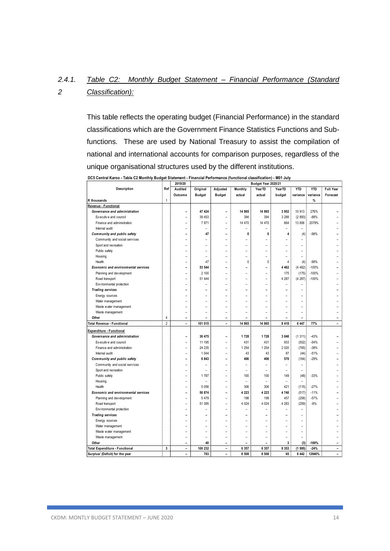#### *2.4.1. 2 Table C2: Monthly Budget Statement – Financial Performance (Standard Classification):*

This table reflects the operating budget (Financial Performance) in the standard classifications which are the Government Finance Statistics Functions and Subfunctions. These are used by National Treasury to assist the compilation of national and international accounts for comparison purposes, regardless of the unique organisational structures used by the different institutions.

|                                            |                | 2019/20        | Budget Year 2020/21 |                          |                |                          |                          |                |            |                  |
|--------------------------------------------|----------------|----------------|---------------------|--------------------------|----------------|--------------------------|--------------------------|----------------|------------|------------------|
| Description                                | Ref            | Audited        | Original            | Adjusted                 | Monthly        | YearTD                   | YearTD                   | <b>YTD</b>     | <b>YTD</b> | <b>Full Year</b> |
|                                            |                | Outcome        | <b>Budget</b>       | <b>Budget</b>            | actual         | actual                   | budget                   | variance       | variance   | Forecast         |
| R thousands                                | 1              |                |                     |                          |                |                          |                          |                | %          |                  |
| Revenue - Functional                       |                |                |                     |                          |                |                          |                          |                |            |                  |
| Governance and administration              |                | ۰              | 47 424              | $\overline{\phantom{0}}$ | 14 865         | 14 865                   | 3952                     | 10 913         | 276%       |                  |
| Executive and council                      |                | ۰              | 39 453              | $\overline{\phantom{a}}$ | 394            | 394                      | 3 2 8 8                  | (2893)         | $-88%$     |                  |
| Finance and administration                 |                | ۰              | 7971                | $\overline{\phantom{a}}$ | 14 470         | 14 470                   | 664                      | 13 806         | 2079%      |                  |
| Internal audit                             |                | ۰              |                     | $\overline{\phantom{0}}$ | ۰              | ۳                        | $\overline{\phantom{0}}$ |                |            |                  |
| Community and public safety                |                | ۰              | 47                  | ۰                        | 0              | 0                        | 4                        | (4)            | $-98%$     |                  |
| Community and social services              |                |                |                     | ۰                        |                |                          |                          | L              |            |                  |
| Sport and recreation                       |                |                |                     | $\overline{a}$           | L              |                          |                          | $\overline{a}$ |            |                  |
| Public safety                              |                |                |                     | L,                       | $\overline{a}$ |                          | L,                       | L,             |            |                  |
| Housing                                    |                |                |                     | $\overline{a}$           | L              | $\overline{a}$           | L                        | $\overline{a}$ |            |                  |
| Health                                     |                |                | 47                  | L,                       | 0              | 0                        | 4                        | (4)            | $-98%$     |                  |
| <b>Economic and environmental services</b> |                |                | 53 544              |                          |                |                          | 4 4 6 2                  | (4462)         | $-100%$    |                  |
| Planning and development                   |                | ۳              | 2 100               | ۰                        | ۳              | ۳                        | 175                      | (175)          | $-100%$    |                  |
| Road transport                             |                | ۰              | 51 444              | $\overline{\phantom{a}}$ | ۳              | ۳                        | 4 2 8 7                  | (4287)         | $-100%$    |                  |
| Env ironmental protection                  |                |                |                     | L.                       | ۳              |                          | $\overline{a}$           | L              |            |                  |
| <b>Trading services</b>                    |                | ۳              |                     | ۰                        | ۰              |                          | ۰                        | ۰              |            |                  |
| Energy sources                             |                |                |                     | ۰                        | ۳              |                          |                          | ۳              |            |                  |
| Water management                           |                |                |                     | ÷                        |                |                          |                          | ÷              |            |                  |
| Waste water management                     |                |                |                     | ۰                        | ۳              |                          | ۰                        | ۳              |            |                  |
| Waste management                           |                |                |                     | ÷                        |                |                          |                          | ۰              |            |                  |
| Other                                      | 4              | -              |                     | ÷                        |                | $\overline{a}$           |                          | L              |            |                  |
| <b>Total Revenue - Functional</b>          | $\overline{2}$ | $\blacksquare$ | 101 015             | $\overline{a}$           | 14 8 65        | 14 8 65                  | 8 4 1 8                  | 6 4 4 7        | 77%        | -                |
| Expenditure - Functional                   |                |                |                     |                          |                |                          |                          |                |            |                  |
| Governance and administration              |                |                | 36 475              | Ĭ.                       | 1728           | 1728                     | 3 0 4 0                  | (1311)         | $-43%$     |                  |
| Executive and council                      |                |                | 11 195              | ۰                        | 431            | 431                      | 933                      | (502)          | $-54%$     |                  |
| Finance and administration                 |                | ۰              | 24 235              | ٠                        | 1 2 5 4        | 1 2 5 4                  | 2 0 2 0                  | (765)          | $-38%$     |                  |
| Internal audit                             |                | ۰              | 1 0 4 4             | $\overline{\phantom{a}}$ | 43             | 43                       | 87                       | (44)           | $-51%$     |                  |
| Community and public safety                |                | ۰              | 6843                | $\overline{a}$           | 406            | 406                      | 570                      | (164)          | $-29%$     |                  |
| Community and social services              |                | ۰              |                     | $\overline{\phantom{a}}$ | ۰              | $\overline{\phantom{0}}$ | $\overline{\phantom{0}}$ | $\overline{a}$ |            |                  |
| Sport and recreation                       |                | ۰              | ۰                   | $\overline{\phantom{a}}$ | ۳              | $\overline{\phantom{a}}$ | $\overline{a}$           | $\overline{a}$ |            |                  |
| Public safety                              |                |                | 1787                | ۰                        | 100            | 100                      | 149                      | (48)           | $-33%$     |                  |
| Housing                                    |                |                | L                   | $\overline{a}$           | $\overline{a}$ | L,                       | $\overline{a}$           | $\overline{a}$ |            |                  |
| Health                                     |                |                | 5 0 5 6             | ۰                        | 306            | 306                      | 421                      | (115)          | $-27%$     |                  |
| <b>Economic and environmental services</b> |                |                | 56 874              | $\overline{a}$           | 4 2 2 3        | 4 2 2 3                  | 4740                     | (517)          | $-11%$     |                  |
| Planning and development                   |                | L              | 5 4 7 9             | ۰                        | 198            | 198                      | 457                      | (258)          | $-57%$     |                  |
| Road transport                             |                |                | 51 395              | L,                       | 4 0 24         | 4 0 24                   | 4 2 8 3                  | (259)          | $-6%$      |                  |
| Env ironmental protection                  |                | ۳              |                     | L.                       |                |                          | L,                       | L,             |            |                  |
| <b>Trading services</b>                    |                | ۳              |                     | ۰                        | ۰              |                          |                          | ۰              |            |                  |
| Energy sources                             |                |                |                     | L.                       | ۳              | ۳                        |                          | L              |            |                  |
| Water management                           |                | ۳              | ۳                   | $\overline{\phantom{a}}$ | ۳              | ۳                        |                          | ۰              |            |                  |
| Waste water management                     |                |                | ۳                   | ۰                        | ۳              | ۳                        | ۳                        | ۳              |            |                  |
| Waste management                           |                |                | J.                  | ÷                        | ۳              | L.                       |                          | ۳              |            |                  |
| Other                                      |                |                | 40                  |                          |                |                          | 3                        | (3)            | $-100%$    |                  |
| <b>Total Expenditure - Functional</b>      | 3              | ۰              | 100 232             | ٠                        | 6 3 5 7        | 6 3 5 7                  | 8 3 5 3                  | (1995)         | $-24%$     | ۳                |
| Surplus/ (Deficit) for the year            |                | $\overline{a}$ | 783                 | $\overline{a}$           | 8 5 0 8        | 8 5 0 8                  | 65                       | 8 4 4 2        | 12940%     | L                |

**DC5 Central Karoo - Table C2 Monthly Budget Statement - Financial Performance (functional classification) - M01 July**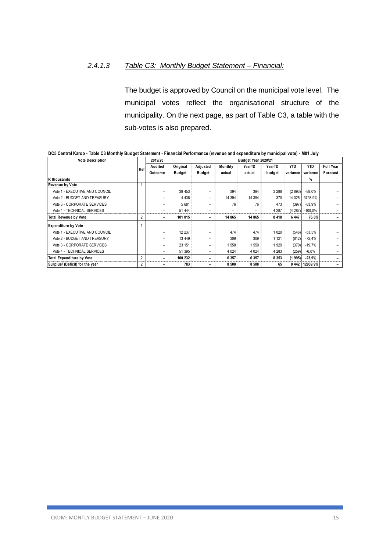### *2.4.1.3 Table C3: Monthly Budget Statement – Financial:*

The budget is approved by Council on the municipal vote level. The municipal votes reflect the organisational structure of the municipality. On the next page, as part of Table C3, a table with the sub-votes is also prepared.

| <b>Vote Description</b>          |                | 2019/20 | Budget Year 2020/21 |                          |         |                          |         |            |            |                  |
|----------------------------------|----------------|---------|---------------------|--------------------------|---------|--------------------------|---------|------------|------------|------------------|
|                                  | Ref            | Audited | Original            | Adjusted                 | Monthly | YearTD                   | YearTD  | <b>YTD</b> | <b>YTD</b> | <b>Full Year</b> |
|                                  |                | Outcome | <b>Budget</b>       | <b>Budget</b>            | actual  | actual                   | budget  | variance   | variance   | Forecast         |
| R thousands                      |                |         |                     |                          |         |                          |         |            | $\%$       |                  |
| <b>Revenue by Vote</b>           |                |         |                     |                          |         |                          |         |            |            |                  |
| Vote 1 - EXECUTIVE AND COUNCIL   |                |         | 39 453              | $\overline{\phantom{0}}$ | 394     | 394                      | 3 2 8 8 | (2893)     | $-88.0%$   |                  |
| Vote 2 - BUDGET AND TREASURY     |                |         | 4 4 3 6             | $\overline{\phantom{0}}$ | 14 394  | 14 394                   | 370     | 14 0 25    | 3793.9%    |                  |
| Vote 3 - CORPORATE SERVICES      |                |         | 5 6 8 1             |                          | 76      | 76                       | 473     | (397)      | $-83.9%$   |                  |
| Vote 4 - TECHNICAL SERVICES      |                |         | 51 444              | $\overline{\phantom{0}}$ | -       | $\overline{\phantom{0}}$ | 4 2 8 7 | (4287)     | $-100.0\%$ |                  |
| <b>Total Revenue by Vote</b>     | $\overline{2}$ | -       | 101 015             | $\overline{\phantom{a}}$ | 14 865  | 14 8 65                  | 8418    | 6 4 4 7    | 76.6%      |                  |
| <b>Expenditure by Vote</b>       |                |         |                     |                          |         |                          |         |            |            |                  |
| Vote 1 - EXECUTIVE AND COUNCIL   |                |         | 12 237              | $\overline{\phantom{0}}$ | 474     | 474                      | 1 0 2 0 | (546)      | $-53,5%$   |                  |
| Vote 2 - BUDGET AND TREASURY     |                |         | 13 449              |                          | 309     | 309                      | 1 1 2 1 | (812)      | $-72.4%$   |                  |
| Vote 3 - CORPORATE SERVICES      |                |         | 23 151              |                          | 550     | 550                      | 1929    | (379)      | $-19.7%$   |                  |
| Vote 4 - TECHNICAL SERVICES      |                |         | 51 395              | $\qquad \qquad$          | 4 0 24  | 4 0 24                   | 4 2 8 3 | (259)      | $-6.0%$    |                  |
| <b>Total Expenditure by Vote</b> | $\overline{2}$ |         | 100 232             | $\overline{\phantom{0}}$ | 6 3 5 7 | 6 3 5 7                  | 8 3 5 3 | (1995)     | $-23,9%$   |                  |
| Surplus/ (Deficit) for the year  | 2              |         | 783                 | $\overline{\phantom{0}}$ | 8 5 0 8 | 8 5 0 8                  | 65      | 8 4 4 2    | 12939.9%   |                  |

**DC5 Central Karoo - Table C3 Monthly Budget Statement - Financial Performance (revenue and expenditure by municipal vote) - M01 July**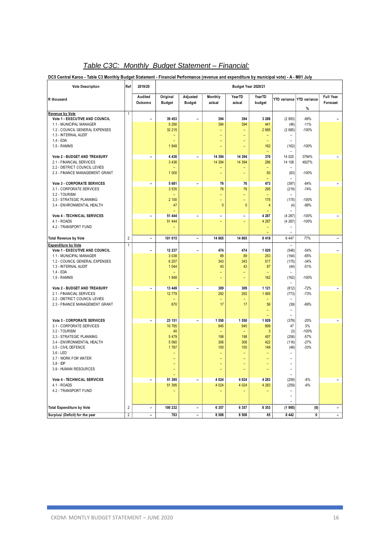## *Table C3C: Monthly Budget Statement – Financial:*

**DC5 Central Karoo - Table C3 Monthly Budget Statement - Financial Performance (revenue and expenditure by municipal vote) - A - M01 July**

| <b>Vote Description</b>                                                                     | Ref            | 2019/20                  |                                                       |                           |                   | Budget Year 2020/21           |                        |                                    |                                |                              |
|---------------------------------------------------------------------------------------------|----------------|--------------------------|-------------------------------------------------------|---------------------------|-------------------|-------------------------------|------------------------|------------------------------------|--------------------------------|------------------------------|
| R thousand                                                                                  |                | Audited<br>Outcome       | Original<br><b>Budget</b>                             | Adjusted<br><b>Budget</b> | Monthly<br>actual | YearTD<br>actual              | YearTD<br>budget       |                                    | YTD variance YTD variance<br>% | <b>Full Year</b><br>Forecast |
| Revenue by Vote                                                                             | $\mathbf{1}$   |                          |                                                       |                           |                   |                               |                        |                                    |                                |                              |
| Vote 1 - EXECUTIVE AND COUNCIL<br>1.1 - MUNICIPAL MANAGER<br>1.2 - COUNCIL GENERAL EXPENSES |                | $\overline{a}$           | 39 453<br>5 2 9 0<br>32 215                           | $\overline{a}$            | 394<br>394<br>÷   | 394<br>394<br>$\equiv$        | 3 2 8 8<br>441<br>2685 | (2893)<br>(46)<br>(2685)           | $-88%$<br>$-11%$<br>$-100%$    | $\overline{\phantom{a}}$     |
| 1.3 - INTERNAL AUDIT<br>$1.4 - EDA$<br>1,5 - RAMMS                                          |                |                          | $\overline{\phantom{0}}$<br>$\qquad \qquad -$<br>1948 |                           | Ξ<br>-            | ۳<br>$\overline{\phantom{0}}$ | ٠<br>162               | (162)                              | $-100%$                        |                              |
| Vote 2 - BUDGET AND TREASURY                                                                |                | $\blacksquare$           | 4 4 3 6                                               | $\overline{\phantom{a}}$  | 14 394            | 14 3 94                       | 370                    | 14 025                             | 3794%                          | $\overline{\phantom{a}}$     |
| 2.1 - FINANCIAL SERVICES                                                                    |                |                          | 3 4 3 6                                               |                           | 14 3 94           | 14 3 94                       | 286                    | 14 108                             | 4927%                          |                              |
| 2.2 - DISTRICT COUNCIL LEVIES<br>2.3 - FINANCE MANAGEMENT GRANT                             |                |                          | $\overline{\phantom{0}}$<br>1 0 0 0                   |                           | -                 | -                             | ۳<br>83                | (83)                               | $-100%$                        |                              |
| <b>Vote 3 - CORPORATE SERVICES</b><br>3.1 - CORPORATE SERVICES                              |                | $\blacksquare$           | 5 681<br>3 5 3 5                                      | $\overline{\phantom{a}}$  | 76<br>76          | 76<br>76                      | 473<br>295             | (397)<br>(219)                     | $-84%$<br>$-74%$               | $\overline{\phantom{a}}$     |
| 3.2 - TOURISM                                                                               |                |                          |                                                       |                           | -<br>L,           | 4<br>L.                       | ÷                      |                                    |                                |                              |
| 3,3 - STRATEGIC PLANNING<br>3.4 - ENVIRONMENTAL HEALTH                                      |                |                          | 2 100<br>47                                           |                           | $\mathbf{0}$      | $\mathbf{0}$                  | 175<br>4               | (175)<br>(4)                       | $-100%$<br>$-98%$              |                              |
| <b>Vote 4 - TECHNICAL SERVICES</b>                                                          |                | $\overline{\phantom{0}}$ | $\overline{\phantom{0}}$<br>51 444                    | $\overline{\phantom{a}}$  | $\overline{a}$    | $\overline{\phantom{a}}$      | 4 2 8 7                | (4287)                             | $-100%$                        | $\blacksquare$               |
| $4.1 - ROADS$<br>4.2 - TRANSPORT FUND                                                       |                |                          | 51 444                                                |                           | Ξ                 | Ξ                             | 4 2 8 7                | (4287)<br>$\overline{\phantom{0}}$ | $-100%$                        |                              |
| <b>Total Revenue by Vote</b>                                                                | $\overline{2}$ | $\overline{a}$           | 101 015                                               | $\overline{a}$            | 14 865            | 14 865                        | 8 4 1 8                | 6 4 4 7                            | 77%                            | $\overline{\phantom{a}}$     |
| <b>Expenditure by Vote</b>                                                                  | $\mathbf{1}$   |                          |                                                       |                           |                   |                               |                        |                                    |                                |                              |
| Vote 1 - EXECUTIVE AND COUNCIL<br>1.1 - MUNICIPAL MANAGER                                   |                | -                        | 12 237<br>3 0 38                                      | $\overline{a}$            | 474<br>89         | 474<br>89                     | 1 0 2 0<br>253         | (546)<br>(164)                     | $-54%$<br>$-65%$               | $\overline{\phantom{a}}$     |
| 1.2 - COUNCIL GENERAL EXPENSES<br>1.3 - INTERNAL AUDIT                                      |                |                          | 6 207<br>1 0 4 4                                      |                           | 343<br>43         | 343<br>43                     | 517<br>87              | (175)<br>(44)                      | $-34%$<br>$-51%$               |                              |
| $1.4 - EDA$<br>1,5 - RAMMS                                                                  |                |                          | 1948                                                  |                           | ÷,<br>Ξ           | ۳<br>Ξ                        | 162                    | (162)                              | $-100%$                        |                              |
| Vote 2 - BUDGET AND TREASURY                                                                |                | $\overline{\phantom{0}}$ | 13 449                                                | $\overline{\phantom{a}}$  | 309               | 309                           | 1 1 2 1                | (812)                              | $-72%$                         | $\overline{\phantom{a}}$     |
| 2.1 - FINANCIAL SERVICES<br>2.2 - DISTRICT COUNCIL LEVIES                                   |                |                          | 12 779                                                |                           | 292<br>L,         | 292                           | 1 0 6 5                | (773)                              | $-73%$                         |                              |
| 2.3 - FINANCE MANAGEMENT GRANT                                                              |                |                          | 670                                                   |                           | 17                | 17                            | 56<br>÷                | (39)<br>$\rightarrow$              | $-69%$                         |                              |
| Vote 3 - CORPORATE SERVICES                                                                 |                | $\overline{\phantom{0}}$ | 23 151                                                | $\frac{1}{2}$             | 1 550             | 1 550                         | 1929                   | L,<br>(379)                        | $-20%$                         | $\overline{\phantom{a}}$     |
| 3.1 - CORPORATE SERVICES<br>3.2 - TOURISM                                                   |                |                          | 10 785<br>40                                          |                           | 945               | 945                           | 899<br>3               | 47<br>(3)                          | 5%<br>$-100%$                  |                              |
| 3,3 - STRATEGIC PLANNING<br>3.4 - ENVIRONMENTAL HEALTH                                      |                |                          | 5 4 7 9<br>5 0 6 0                                    |                           | 198<br>306        | 198<br>306                    | 457<br>422             | (258)<br>(116)                     | $-57%$<br>$-27%$               |                              |
| 3.5 - CIVIL DEFENCE<br>$3,6 - LED$                                                          |                |                          | 1787                                                  |                           | 100<br>L,         | 100<br>÷                      | 149<br>L               | (48)<br>L.                         | $-33%$                         |                              |
| 3.7 - WORK FOR WATER<br>$3.8 - IDP$                                                         |                |                          | $\equiv$<br>$\overline{\phantom{0}}$                  |                           | L,<br>۳           | ÷<br>۳                        | L.<br>۳                | L.                                 |                                |                              |
| 3,9 - HUMAN RESOURCES                                                                       |                |                          | $\qquad \qquad -$                                     |                           | Ξ                 |                               |                        |                                    |                                |                              |
| Vote 4 - TECHNICAL SERVICES<br>4.1 - ROADS                                                  |                | $\overline{a}$           | 51 395<br>51 395                                      | $\qquad \qquad -$         | 4 0 24<br>4 0 24  | 4 0 24<br>4 0 24              | 4 2 8 3<br>4 2 8 3     | (259)<br>(259)                     | $-6%$<br>$-6%$                 | $\blacksquare$               |
| 4.2 - TRANSPORT FUND                                                                        |                |                          | $\qquad \qquad -$                                     |                           |                   |                               |                        |                                    |                                |                              |
|                                                                                             |                |                          |                                                       |                           |                   |                               |                        |                                    |                                |                              |
| <b>Total Expenditure by Vote</b>                                                            | $\overline{2}$ | -                        | 100 232                                               | $\blacksquare$            | 6 3 5 7           | 6 3 5 7                       | 8 3 5 3                | (1995)                             | (0)                            | $\overline{\phantom{0}}$     |
| Surplus/ (Deficit) for the year                                                             | $\overline{2}$ | -                        | 783                                                   | -                         | 8 5 0 8           | 8 5 0 8                       | 65                     | 8 4 4 2                            | $\mathbf 0$                    | -                            |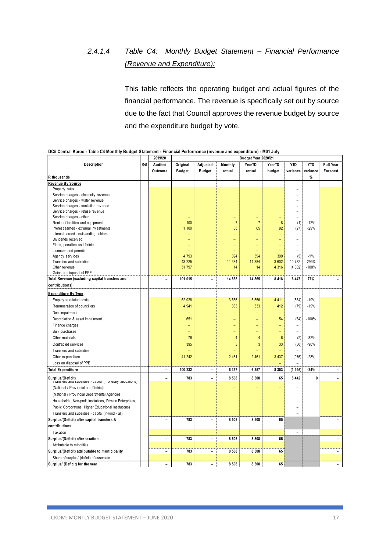# *2.4.1.4 Table C4: Monthly Budget Statement – Financial Performance (Revenue and Expenditure):*

This table reflects the operating budget and actual figures of the financial performance. The revenue is specifically set out by source due to the fact that Council approves the revenue budget by source and the expenditure budget by vote.

|                                                                               |     | 2019/20                  |               | Budget Year 2020/21      |                |                |                 |                          |            |                          |
|-------------------------------------------------------------------------------|-----|--------------------------|---------------|--------------------------|----------------|----------------|-----------------|--------------------------|------------|--------------------------|
| Description                                                                   | Ref | Audited                  | Original      | Adjusted                 | Monthly        | YearTD         | YearTD          | YTD                      | <b>YTD</b> | <b>Full Year</b>         |
|                                                                               |     | Outcome                  | <b>Budget</b> | <b>Budget</b>            | actual         | actual         | budget          | variance                 | variance   | Forecast                 |
| R thousands                                                                   |     |                          |               |                          |                |                |                 |                          | $\%$       |                          |
| Revenue By Source                                                             |     |                          |               |                          |                |                |                 |                          |            |                          |
| Property rates                                                                |     |                          |               |                          |                |                |                 |                          |            |                          |
| Service charges - electricity revenue                                         |     |                          |               |                          |                |                |                 |                          |            |                          |
| Service charges - water revenue                                               |     |                          |               |                          |                |                |                 |                          |            |                          |
| Service charges - sanitation revenue                                          |     |                          |               |                          |                |                |                 |                          |            |                          |
| Service charges - refuse revenue                                              |     |                          |               |                          |                |                |                 |                          |            |                          |
| Service charges - other                                                       |     |                          |               |                          | ÷              |                |                 | ۳                        |            |                          |
| Rental of facilities and equipment                                            |     |                          | 100           |                          | $\overline{7}$ | $\overline{7}$ | 8               | (1)                      | $-12%$     |                          |
| Interest earned - external investments                                        |     |                          | 1 100         |                          | 65             | 65             | 92              | (27)                     | $-29%$     |                          |
| Interest earned - outstanding debtors                                         |     |                          |               |                          |                |                |                 |                          |            |                          |
| Dividends received                                                            |     |                          |               |                          |                |                |                 |                          |            |                          |
| Fines, penalties and forfeits                                                 |     |                          |               |                          |                |                | -               | $\overline{\phantom{0}}$ |            |                          |
| Licences and permits                                                          |     |                          |               |                          |                |                |                 |                          |            |                          |
| Agency services                                                               |     |                          | 4 7 9 3       |                          | 394            | 394            | 399             | (5)                      | $-1%$      |                          |
| Transfers and subsidies                                                       |     |                          | 43 225        |                          | 14 384         | 14 384         | 3 602           | 10 782                   | 299%       |                          |
| Other revenue                                                                 |     |                          | 51 797        |                          | 14             | 14             | 4 3 1 6         | (4302)                   | $-100%$    |                          |
| Gains on disposal of PPE                                                      |     |                          |               |                          |                |                |                 | $\overline{\phantom{a}}$ |            |                          |
| Total Revenue (excluding capital transfers and                                |     | $\overline{\phantom{0}}$ | 101 015       | $\overline{\phantom{0}}$ | 14 865         | 14 865         | 8 4 1 8         | 6 4 4 7                  | 77%        |                          |
| contributions)                                                                |     |                          |               |                          |                |                |                 |                          |            |                          |
| <b>Expenditure By Type</b>                                                    |     |                          |               |                          |                |                |                 |                          |            |                          |
| Employ ee related costs                                                       |     |                          | 52 928        |                          | 3 5 5 6        | 3 5 5 6        | 4 4 1 1         | (854)                    | $-19%$     |                          |
| Remuneration of councillors                                                   |     |                          | 4 9 4 1       |                          | 333            | 333            | 412             | (79)                     | $-19%$     |                          |
|                                                                               |     |                          |               |                          |                |                | L,              |                          |            |                          |
| Debt impairment                                                               |     |                          |               |                          |                |                |                 |                          |            |                          |
| Depreciation & asset impairment                                               |     |                          | 651           |                          | -              |                | 54              | (54)                     | $-100%$    |                          |
| Finance charges                                                               |     |                          |               |                          |                |                |                 |                          |            |                          |
| <b>Bulk purchases</b>                                                         |     |                          | ۳             |                          |                |                |                 | $\equiv$                 |            |                          |
| Other materials                                                               |     |                          | 76            |                          | 4              | $\overline{4}$ | $6\phantom{1}6$ | (2)                      | $-32%$     |                          |
| Contracted services                                                           |     |                          | 395           |                          | 3              | 3              | 33              | (30)                     | $-90%$     |                          |
| Transfers and subsidies                                                       |     |                          |               |                          |                |                |                 |                          |            |                          |
| Other expenditure                                                             |     |                          | 41 242        |                          | 2 4 6 1        | 2 4 6 1        | 3 4 3 7         | (976)                    | $-28%$     |                          |
| Loss on disposal of PPE                                                       |     |                          |               |                          |                |                |                 |                          |            |                          |
| <b>Total Expenditure</b>                                                      |     | $\overline{\phantom{a}}$ | 100 232       | $\overline{\phantom{0}}$ | 6 3 5 7        | 6 3 5 7        | 8 3 5 3         | (1995)                   | $-24%$     | $\qquad \qquad -$        |
| Surplus/(Deficit)<br>rransiers and subsidies - capital (monetary allocations) |     | $\overline{\phantom{a}}$ | 783           | $\overline{\phantom{0}}$ | 8 5 0 8        | 8 5 0 8        | 65              | 8 4 4 2                  | 0          | $\overline{\phantom{0}}$ |
| (National / Provincial and District)                                          |     |                          |               |                          |                |                |                 |                          |            |                          |
| (National / Provincial Departmental Agencies,                                 |     |                          |               |                          |                |                |                 |                          |            |                          |
| Households, Non-profit Institutions, Private Enterprises,                     |     |                          |               |                          |                |                |                 |                          |            |                          |
| Public Corporatons, Higher Educational Institutions)                          |     |                          |               |                          |                |                |                 |                          |            |                          |
|                                                                               |     |                          |               |                          |                |                |                 |                          |            |                          |
| Transfers and subsidies - capital (in-kind - all)                             |     |                          |               |                          |                |                |                 |                          |            |                          |
| Surplus/(Deficit) after capital transfers &                                   |     | $\overline{\phantom{0}}$ | 783           | $\overline{\phantom{a}}$ | 8 5 0 8        | 8 5 0 8        | 65              |                          |            |                          |
| contributions                                                                 |     |                          |               |                          |                |                |                 |                          |            |                          |
| <b>Tax ation</b>                                                              |     |                          |               |                          |                |                |                 |                          |            |                          |
| Surplus/(Deficit) after taxation                                              |     | $\overline{\phantom{0}}$ | 783           | $\overline{\phantom{0}}$ | 8 5 0 8        | 8 5 0 8        | 65              |                          |            | $\overline{a}$           |
| Attributable to minorities                                                    |     |                          |               |                          |                |                |                 |                          |            |                          |
| Surplus/(Deficit) attributable to municipality                                |     | $\overline{\phantom{a}}$ | 783           | $\overline{\phantom{0}}$ | 8 5 0 8        | 8 5 0 8        | 65              |                          |            | $\overline{a}$           |
| Share of surplus/ (deficit) of associate                                      |     |                          |               |                          |                |                |                 |                          |            |                          |
| Surplus/ (Deficit) for the year                                               |     | $\overline{a}$           | 783           | $\overline{\phantom{a}}$ | 8 5 0 8        | 8 5 0 8        | 65              |                          |            | $\overline{a}$           |

### **DC5 Central Karoo - Table C4 Monthly Budget Statement - Financial Performance (revenue and expenditure) - M01 July**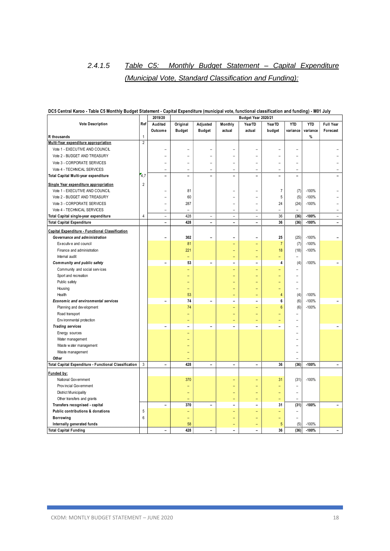# *2.4.1.5 Table C5: Monthly Budget Statement – Capital Expenditure (Municipal Vote, Standard Classification and Funding):*

|                                                       |                | 2019/20                  | Budget Year 2020/21      |                          |                          |                            |                          |                          |            |                          |
|-------------------------------------------------------|----------------|--------------------------|--------------------------|--------------------------|--------------------------|----------------------------|--------------------------|--------------------------|------------|--------------------------|
| <b>Vote Description</b>                               | Ref            | Audited                  | Original                 | Adjusted                 | Monthly                  | YearTD                     | YearTD                   | <b>YTD</b>               | <b>YTD</b> | <b>Full Year</b>         |
|                                                       |                | Outcome                  | <b>Budget</b>            | <b>Budget</b>            | actual                   | actual                     | budget                   | variance                 | variance   | Forecast                 |
| R thousands                                           | $\mathbf{1}$   |                          |                          |                          |                          |                            |                          |                          | $\%$       |                          |
| Multi-Year expenditure appropriation                  | $\overline{2}$ |                          |                          |                          |                          |                            |                          |                          |            |                          |
| Vote 1 - EXECUTIVE AND COUNCIL                        |                | $\equiv$                 |                          |                          |                          |                            |                          |                          |            |                          |
| Vote 2 - BUDGET AND TREASURY                          |                |                          |                          |                          |                          |                            |                          |                          |            |                          |
| Vote 3 - CORPORATE SERVICES                           |                | L,                       | ۳                        |                          | $\overline{a}$           | $\overline{a}$             | $\overline{a}$           | $\overline{a}$           |            |                          |
| Vote 4 - TECHNICAL SERVICES                           |                | $\equiv$                 | ٠                        | $\equiv$                 | ÷                        | ۳                          | ۳                        | $\overline{a}$           |            |                          |
| Total Capital Multi-year expenditure                  | 4,7            | $\overline{\phantom{a}}$ | $\overline{\phantom{a}}$ | $\overline{a}$           | $\overline{a}$           | $\overline{\phantom{a}}$   | $\overline{\phantom{0}}$ | $\overline{\phantom{0}}$ |            |                          |
| Single Year expenditure appropriation                 | $\overline{2}$ |                          |                          |                          |                          |                            |                          |                          |            |                          |
| Vote 1 - EXECUTIVE AND COUNCIL                        |                | ۰                        | 81                       |                          | $\overline{\phantom{0}}$ | $\equiv$                   | $\overline{7}$           | (7)                      | $-100%$    |                          |
| Vote 2 - BUDGET AND TREASURY                          |                | $\equiv$                 | 60                       |                          |                          | ÷                          | 5                        |                          | $-100%$    |                          |
| Vote 3 - CORPORATE SERVICES                           |                |                          | 287                      |                          |                          | $\overline{\phantom{0}}$   | 24                       | (5)                      | $-100%$    |                          |
| Vote 4 - TECHNICAL SERVICES                           |                | $\overline{\phantom{0}}$ |                          |                          | $\overline{a}$           | $\equiv$                   | $\equiv$                 | (24)                     |            |                          |
|                                                       | $\overline{4}$ | $\equiv$                 | 428                      |                          | $\equiv$                 | $\equiv$                   | 36                       | (36)                     | $-100%$    |                          |
| Total Capital single-year expenditure                 |                | $\overline{\phantom{0}}$ | 428                      | $\overline{a}$           | $\overline{\phantom{0}}$ | $\qquad \qquad -$          | 36                       | (36)                     | $-100%$    | -                        |
| <b>Total Capital Expenditure</b>                      |                |                          |                          |                          |                          |                            |                          |                          |            |                          |
| Capital Expenditure - Functional Classification       |                |                          |                          |                          |                          |                            |                          |                          |            |                          |
| Governance and administration                         |                | $\overline{a}$           | 302                      |                          | $\overline{a}$           | L                          | 25                       | (25)                     | $-100%$    |                          |
| Executive and council                                 |                |                          | 81                       |                          |                          |                            | $\overline{7}$           | (7)                      | $-100%$    |                          |
| Finance and administration                            |                |                          | 221                      |                          |                          | L,                         | 18                       | (18)                     | $-100%$    |                          |
| Internal audit                                        |                |                          | L,                       |                          | L,                       | Ξ                          |                          | $\overline{a}$           |            |                          |
| Community and public safety                           |                | $\overline{a}$           | 53                       | $\overline{\phantom{0}}$ | $\overline{a}$           | $\overline{a}$             | 4                        | (4)                      | $-100%$    |                          |
| Community and social services                         |                |                          | ۳                        |                          | ۳                        | Ξ                          | ۳                        | ÷                        |            |                          |
| Sport and recreation                                  |                |                          |                          |                          |                          | ÷                          |                          | ÷                        |            |                          |
| Public safety                                         |                |                          |                          |                          |                          |                            |                          | $\overline{\phantom{a}}$ |            |                          |
| Housing                                               |                |                          | ۳                        |                          |                          | ÷                          | ۳                        | $\overline{\phantom{a}}$ |            |                          |
| Health                                                |                |                          | 53                       |                          |                          | ۳                          | 4                        | (4)                      | $-100%$    |                          |
| Economic and environmental services                   |                | $\overline{a}$           | 74                       | $\overline{\phantom{0}}$ | $\overline{a}$           | $\overline{a}$             | 6                        | (6)                      | $-100%$    |                          |
| Planning and development                              |                |                          | 74                       |                          | ۳                        | $\equiv$                   | $6\phantom{1}6$          | (6)                      | $-100%$    |                          |
| Road transport                                        |                |                          |                          |                          |                          | L.                         |                          | $\overline{a}$           |            |                          |
| Env ironmental protection                             |                |                          |                          |                          |                          | ۳                          |                          | $\overline{a}$           |            |                          |
| <b>Trading services</b>                               |                | $\overline{a}$           | $\overline{a}$           | $\overline{\phantom{0}}$ |                          | $\overline{a}$             |                          |                          |            |                          |
| Energy sources                                        |                |                          |                          |                          |                          |                            |                          |                          |            |                          |
| Water management                                      |                |                          |                          |                          |                          |                            |                          |                          |            |                          |
| Waste water management                                |                |                          |                          |                          |                          |                            |                          |                          |            |                          |
| Waste management                                      |                |                          |                          |                          |                          |                            |                          |                          |            |                          |
| Other                                                 |                |                          |                          |                          |                          |                            |                          |                          |            |                          |
| Total Capital Expenditure - Functional Classification | 3              | $\overline{\phantom{a}}$ | 428                      | $\overline{\phantom{a}}$ | $\overline{\phantom{a}}$ | $\overline{\phantom{a}}$   | 36                       | (36)                     | $-100%$    | $\overline{\phantom{0}}$ |
| Funded by:                                            |                |                          |                          |                          |                          |                            |                          |                          |            |                          |
| National Government                                   |                |                          | 370                      |                          |                          |                            | 31                       | (31)                     | $-100%$    |                          |
| Provincial Government                                 |                |                          |                          |                          |                          |                            |                          | $\overline{\phantom{a}}$ |            |                          |
| <b>District Municipality</b>                          |                |                          | ۳                        |                          |                          | L,                         |                          | $\equiv$                 |            |                          |
| Other transfers and grants                            |                |                          | $\equiv$                 |                          | ۳                        | Ξ                          | L.                       | $\equiv$                 |            |                          |
| Transfers recognised - capital                        |                | $\overline{a}$           | 370                      | $\overline{\phantom{0}}$ | $\overline{a}$           | $\overline{\phantom{0}}$   | 31                       | (31)                     | $-100%$    |                          |
| Public contributions & donations                      | $\sqrt{5}$     |                          | ۳                        |                          |                          | ÷                          |                          | ÷                        |            |                          |
|                                                       | 6              |                          | Ξ                        |                          |                          | ÷                          |                          | $\equiv$                 |            |                          |
| <b>Borrowing</b>                                      |                |                          | 58                       |                          |                          |                            |                          |                          | $-100%$    |                          |
| Internally generated funds                            |                |                          | 428                      |                          | $\overline{a}$           | $\equiv$<br>$\overline{a}$ | 5                        | (5)                      |            | $\overline{\phantom{0}}$ |
| <b>Total Capital Funding</b>                          |                | $\overline{\phantom{a}}$ |                          | $\overline{\phantom{a}}$ |                          |                            | 36                       | (36)                     | $-100%$    |                          |

### **DC5 Central Karoo - Table C5 Monthly Budget Statement - Capital Expenditure (municipal vote, functional classification and funding) - M01 July**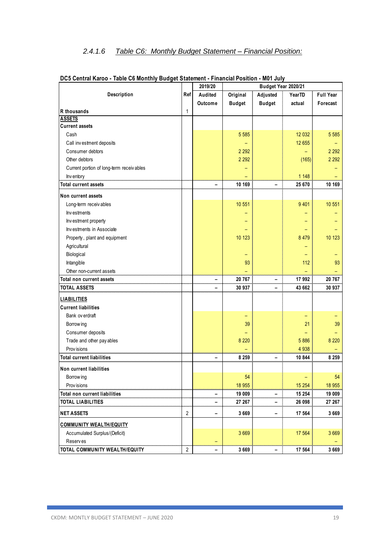# *2.4.1.6 Table C6: Monthly Budget Statement – Financial Position:*

|                                           |                | 2019/20 |               | Budget Year 2020/21 |         |                  |
|-------------------------------------------|----------------|---------|---------------|---------------------|---------|------------------|
| <b>Description</b>                        | Ref            | Audited | Original      | Adjusted            | YearTD  | <b>Full Year</b> |
|                                           |                | Outcome | <b>Budget</b> | <b>Budget</b>       | actual  | Forecast         |
| R thousands                               | $\mathbf{1}$   |         |               |                     |         |                  |
| <b>ASSETS</b>                             |                |         |               |                     |         |                  |
| <b>Current assets</b>                     |                |         |               |                     |         |                  |
| Cash                                      |                |         | 5 5 8 5       |                     | 12 032  | 5 5 8 5          |
| Call investment deposits                  |                |         |               |                     | 12 655  |                  |
| Consumer debtors                          |                |         | 2 2 9 2       |                     |         | 2 2 9 2          |
| Other debtors                             |                |         | 2 2 9 2       |                     | (165)   | 2 2 9 2          |
| Current portion of long-term receiv ables |                |         |               |                     |         |                  |
| Inv entory                                |                |         |               |                     | 1 1 4 8 |                  |
| <b>Total current assets</b>               |                |         | 10 169        |                     | 25 670  | 10 169           |
| Non current assets                        |                |         |               |                     |         |                  |
| Long-term receivables                     |                |         | 10 551        |                     | 9 4 0 1 | 10 551           |
| Investments                               |                |         |               |                     |         |                  |
| Investment property                       |                |         |               |                     |         |                  |
| Investments in Associate                  |                |         |               |                     |         |                  |
| Property, plant and equipment             |                |         | 10 123        |                     | 8 4 7 9 | 10 123           |
| Agricultural                              |                |         |               |                     |         |                  |
| Biological                                |                |         |               |                     |         |                  |
| Intangible                                |                |         | 93            |                     | 112     | 93               |
| Other non-current assets                  |                |         |               |                     |         |                  |
| Total non current assets                  |                | -       | 20 767        | -                   | 17 992  | 20 767           |
| <b>TOTAL ASSETS</b>                       |                |         | 30 937        |                     | 43 662  | 30 937           |
| <b>LIABILITIES</b>                        |                |         |               |                     |         |                  |
| <b>Current liabilities</b>                |                |         |               |                     |         |                  |
| Bank ov erdraft                           |                |         |               |                     |         |                  |
| Borrow ing                                |                |         | 39            |                     | 21      | 39               |
| Consumer deposits                         |                |         |               |                     |         |                  |
| Trade and other pay ables                 |                |         | 8 2 2 0       |                     | 5 8 8 6 | 8 2 2 0          |
| Prov isions                               |                |         |               |                     | 4 9 38  |                  |
| <b>Total current liabilities</b>          |                |         | 8 2 5 9       |                     | 10 844  | 8 2 5 9          |
| Non current liabilities                   |                |         |               |                     |         |                  |
|                                           |                |         | 54            |                     |         | 54               |
| Borrow ing<br>Prov isions                 |                |         | 18 955        |                     | 15 254  | 18 955           |
| Total non current liabilities             |                | -       | 19 009        |                     | 15 254  | 19 009           |
| <b>TOTAL LIABILITIES</b>                  |                |         | 27 267        | -<br>-              | 26 098  | 27 267           |
| <b>NET ASSETS</b>                         | $\overline{2}$ | -       | 3 6 6 9       | -                   | 17 564  | 3 6 6 9          |
| <b>COMMUNITY WEALTH/EQUITY</b>            |                |         |               |                     |         |                  |
| Accumulated Surplus/(Deficit)             |                |         | 3 6 6 9       |                     | 17 5 64 | 3 6 6 9          |
| <b>Reserves</b>                           |                |         |               |                     |         |                  |
| TOTAL COMMUNITY WEALTH/EQUITY             | $\overline{2}$ |         | 3 6 6 9       |                     | 17 564  | 3 6 6 9          |
|                                           |                |         |               |                     |         |                  |

| DC5 Central Karoo - Table C6 Monthly Budget Statement - Financial Position - M01 July |  |  |
|---------------------------------------------------------------------------------------|--|--|
|---------------------------------------------------------------------------------------|--|--|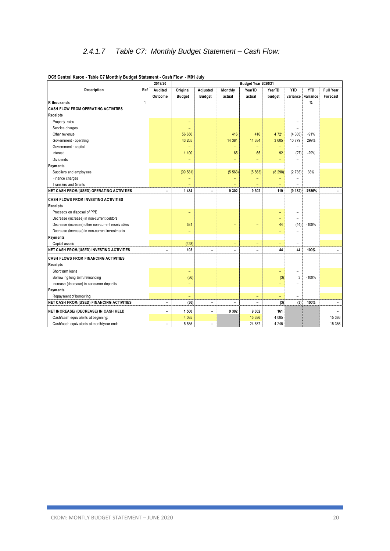|                                                   |              | 2019/20                  |                          | Budget Year 2020/21      |                          |                          |         |                          |            |                          |
|---------------------------------------------------|--------------|--------------------------|--------------------------|--------------------------|--------------------------|--------------------------|---------|--------------------------|------------|--------------------------|
| Description                                       | Ref          | Audited                  | Original                 | Adjusted                 | Monthly                  | YearTD                   | YearTD  | <b>YTD</b>               | <b>YTD</b> | <b>Full Year</b>         |
|                                                   |              | Outcome                  | <b>Budget</b>            | <b>Budget</b>            | actual                   | actual                   | budget  | variance                 | variance   | Forecast                 |
| R thousands                                       | $\mathbf{1}$ |                          |                          |                          |                          |                          |         |                          | %          |                          |
| <b>CASH FLOW FROM OPERATING ACTIVITIES</b>        |              |                          |                          |                          |                          |                          |         |                          |            |                          |
| Receipts                                          |              |                          |                          |                          |                          |                          |         |                          |            |                          |
| Property rates                                    |              |                          | $\qquad \qquad -$        |                          |                          |                          |         |                          |            |                          |
| Service charges                                   |              |                          | ÷                        |                          |                          |                          |         |                          |            |                          |
| Other rev enue                                    |              |                          | 56 650                   |                          | 416                      | 416                      | 4 7 2 1 | (4305)                   | $-91%$     |                          |
| Government - operating                            |              |                          | 43 265                   |                          | 14 384                   | 14 3 84                  | 3 605   | 10779                    | 299%       |                          |
| Government - capital                              |              |                          | -                        |                          | $\overline{\phantom{0}}$ | ۳                        | -       |                          |            |                          |
| Interest                                          |              |                          | 1 100                    |                          | 65                       | 65                       | 92      | (27)                     | $-29%$     |                          |
| Div idends                                        |              |                          | $\overline{\phantom{a}}$ |                          |                          | ۳                        | -       |                          |            |                          |
| Payments                                          |              |                          |                          |                          |                          |                          |         |                          |            |                          |
| Suppliers and employees                           |              |                          | (99 581)                 |                          | (5 563)                  | (5 563)                  | (8 298) | (2735)                   | 33%        |                          |
| Finance charges                                   |              |                          | -                        |                          |                          |                          |         |                          |            |                          |
| <b>Transfers and Grants</b>                       |              |                          |                          |                          |                          |                          |         |                          |            |                          |
| NET CASH FROM/(USED) OPERATING ACTIVITIES         |              | $\qquad \qquad -$        | 1 4 3 4                  | Ξ.                       | 9 3 0 2                  | 9 3 0 2                  | 119     | (9 182)                  | $-7686%$   |                          |
| <b>CASH FLOWS FROM INVESTING ACTIVITIES</b>       |              |                          |                          |                          |                          |                          |         |                          |            |                          |
| Receipts                                          |              |                          |                          |                          |                          |                          |         |                          |            |                          |
| Proceeds on disposal of PPE                       |              |                          | $\qquad \qquad -$        |                          |                          |                          |         |                          |            |                          |
| Decrease (Increase) in non-current debtors        |              |                          |                          |                          |                          |                          | ۳       |                          |            |                          |
| Decrease (increase) other non-current receivables |              |                          | 531                      |                          |                          |                          | 44      | (44)                     | $-100%$    |                          |
| Decrease (increase) in non-current investments    |              |                          | ۰                        |                          |                          |                          |         |                          |            |                          |
| Payments                                          |              |                          |                          |                          |                          |                          |         |                          |            |                          |
| Capital assets                                    |              |                          | (428)                    |                          | ۳                        | $\qquad \qquad -$        | -       | $\equiv$                 |            |                          |
| NET CASH FROM/(USED) INVESTING ACTIVITIES         |              | $\overline{a}$           | 103                      | $\overline{a}$           | ۰                        | $\overline{\phantom{0}}$ | 44      | 44                       | 100%       | $\overline{\phantom{0}}$ |
| <b>CASH FLOWS FROM FINANCING ACTIVITIES</b>       |              |                          |                          |                          |                          |                          |         |                          |            |                          |
| <b>Receipts</b>                                   |              |                          |                          |                          |                          |                          |         |                          |            |                          |
| Short term loans                                  |              |                          | $\overline{\phantom{a}}$ |                          |                          |                          | ۳       | $\overline{\phantom{0}}$ |            |                          |
| Borrow ing long term/refinancing                  |              |                          | (36)                     |                          |                          |                          | (3)     | 3                        | $-100%$    |                          |
| Increase (decrease) in consumer deposits          |              |                          | -                        |                          |                          |                          |         |                          |            |                          |
| Payments                                          |              |                          |                          |                          |                          |                          |         |                          |            |                          |
| Repay ment of borrowing                           |              |                          | -                        |                          |                          | $\overline{\phantom{a}}$ | -       | $\overline{\phantom{0}}$ |            |                          |
| <b>NET CASH FROM/(USED) FINANCING ACTIVITIES</b>  |              | $\qquad \qquad -$        | (36)                     | $\overline{\phantom{0}}$ | ۰                        | $\overline{a}$           | (3)     | (3)                      | 100%       | $\qquad \qquad -$        |
| NET INCREASE/ (DECREASE) IN CASH HELD             |              | $\overline{\phantom{0}}$ | 1 500                    | $\overline{\phantom{0}}$ | 9 3 0 2                  | 9 3 0 2                  | 161     |                          |            |                          |
| Cash/cash equivalents at beginning:               |              |                          | 4 0 8 5                  |                          |                          | 15 386                   | 4 085   |                          |            | 15 386                   |
| Cash/cash equivalents at month/y ear end:         |              | $\rightarrow$            | 5 5 8 5                  | $\equiv$                 |                          | 24 687                   | 4 2 4 5 |                          |            | 15 386                   |
|                                                   |              |                          |                          |                          |                          |                          |         |                          |            |                          |

### **DC5 Central Karoo - Table C7 Monthly Budget Statement - Cash Flow - M01 July**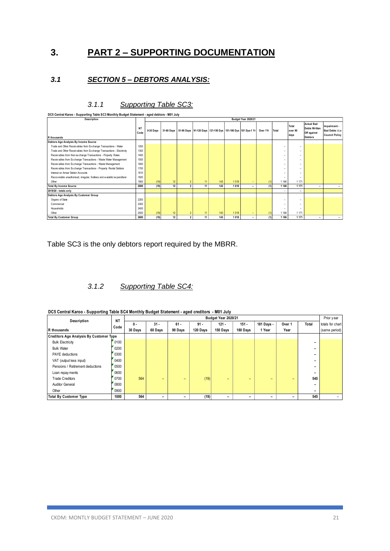# **3. PART 2 – SUPPORTING DOCUMENTATION**

### *3.1 SECTION 5 – DEBTORS ANALYSIS:*

| Description                                                             |                   |           |    |                |                 |     |         | Budget Year 2020/21                                                             |     |                          |                          |                                                                            |                                                          |
|-------------------------------------------------------------------------|-------------------|-----------|----|----------------|-----------------|-----|---------|---------------------------------------------------------------------------------|-----|--------------------------|--------------------------|----------------------------------------------------------------------------|----------------------------------------------------------|
| R thousands                                                             | <b>NT</b><br>Code | 0-30 Davs |    |                |                 |     |         | 31-60 Days 61-90 Days 91-120 Days 121-150 Dys 151-180 Dys 181 Dys-1 Yr Over 1Yr |     | Total                    | Total<br>over 90<br>days | <b>Actual Bad</b><br><b>Debts Written</b><br>Off against<br><b>Debtors</b> | Impairment -<br>Bad Debts i.t.o<br><b>Council Policy</b> |
| Debtors Age Analysis By Income Source                                   |                   |           |    |                |                 |     |         |                                                                                 |     |                          |                          |                                                                            |                                                          |
| Trade and Other Receivables from Exchange Transactions - Water          | 1200              |           |    |                |                 |     |         |                                                                                 |     | -                        |                          |                                                                            |                                                          |
| Trade and Other Receivables from Exchange Transactions - Electricity    | 1300              |           |    |                |                 |     |         |                                                                                 |     | $\overline{\phantom{a}}$ | -                        |                                                                            |                                                          |
| Receivables from Non-exchange Transactions - Property Rates             | 1400              |           |    |                |                 |     |         |                                                                                 |     | $\overline{\phantom{a}}$ | -                        |                                                                            |                                                          |
| Receivables from Exchange Transactions - Waste Water Management         | 1500              |           |    |                |                 |     |         |                                                                                 |     | -                        | -                        |                                                                            |                                                          |
| Receivables from Exchange Transactions - Waste Management               | 1600              |           |    |                |                 |     |         |                                                                                 |     | $\overline{\phantom{a}}$ | -                        |                                                                            |                                                          |
| Receivables from Exchange Transactions - Property Rental Debtors        | 1700              |           |    |                |                 |     |         |                                                                                 |     | $\overline{\phantom{a}}$ | -                        |                                                                            |                                                          |
| Interest on Arrear Debtor Accounts                                      | 1810              |           |    |                |                 |     |         |                                                                                 |     | -                        | -                        |                                                                            |                                                          |
| Recoverable unauthorised, irregular, fruitless and wasteful expenditure | 1820              |           |    |                |                 |     |         |                                                                                 |     | $\overline{\phantom{a}}$ | ۰                        |                                                                            |                                                          |
| Other                                                                   | 1900              | (19)      | 12 | $\sim$         | 11 <sup>1</sup> | 143 | 1 0 1 8 | ۰                                                                               | (1) | 1 1 6 6                  | 1 1 7 1                  |                                                                            |                                                          |
| <b>Total By Income Source</b>                                           | 2000              | (19)      | 12 | $\overline{2}$ | 11              | 143 | 1 0 1 8 | ٠                                                                               | (1) | 1 1 6 6                  | 1 1 7 1                  |                                                                            |                                                          |
| 2019/20 - totals only                                                   |                   |           |    |                |                 |     |         |                                                                                 |     |                          | ۰                        |                                                                            |                                                          |
| Debtors Age Analysis By Customer Group                                  |                   |           |    |                |                 |     |         |                                                                                 |     |                          |                          |                                                                            |                                                          |
| Organs of State                                                         | 2200              |           |    |                |                 |     |         |                                                                                 |     | $\overline{\phantom{a}}$ | ۰                        |                                                                            |                                                          |
| Commercial                                                              | 2300              |           |    |                |                 |     |         |                                                                                 |     | -                        | -                        |                                                                            |                                                          |
| Households                                                              | 2400              |           |    |                |                 |     |         |                                                                                 |     | $\overline{\phantom{a}}$ | -                        |                                                                            |                                                          |
| Other                                                                   | 2500              | (19)      | 12 | $\overline{2}$ | 11              | 143 | 1 0 1 8 | ۰.                                                                              | (1) | 1 1 6 6                  | 1 1 7 1                  |                                                                            |                                                          |
| <b>Total By Customer Group</b>                                          | 2600              | (19)      | 12 | $\overline{2}$ | 11              | 143 | 1 0 1 8 | ÷                                                                               | (1) | 1 1 6 6                  | 1 1 7 1                  |                                                                            |                                                          |

### *3.1.1 Supporting Table SC3:*

Table SC3 is the only debtors report required by the MBRR.

### *3.1.2 Supporting Table SC4:*

| DC5 Central Karoo - Supporting Table SC4 Monthly Budget Statement - aged creditors - M01 July |  |
|-----------------------------------------------------------------------------------------------|--|

| DC5 Central Karoo - Supporting Table SC4 Monthly Budget Statement - aged creditors - M01 July |                   |                |                   |                   |                    | Budget Year 2020/21 |                     |                      |                |                          | Prior year                        |
|-----------------------------------------------------------------------------------------------|-------------------|----------------|-------------------|-------------------|--------------------|---------------------|---------------------|----------------------|----------------|--------------------------|-----------------------------------|
| Description<br>R thousands                                                                    | <b>NT</b><br>Code | 0 -<br>30 Days | $31 -$<br>60 Days | $61 -$<br>90 Days | $91 -$<br>120 Days | $121 -$<br>150 Days | $151 -$<br>180 Days | 181 Days -<br>1 Year | Over 1<br>Year | Total                    | totals for chart<br>(same period) |
| <b>Creditors Age Analysis By Customer Type</b>                                                |                   |                |                   |                   |                    |                     |                     |                      |                |                          |                                   |
| <b>Bulk Electricity</b>                                                                       | 0100              |                |                   |                   |                    |                     |                     |                      |                | $\overline{\phantom{0}}$ |                                   |
| <b>Bulk Water</b>                                                                             | 0200              |                |                   |                   |                    |                     |                     |                      |                | -                        |                                   |
| <b>PAYE</b> deductions                                                                        | 0300              |                |                   |                   |                    |                     |                     |                      |                | -                        |                                   |
| VAT (output less input)                                                                       | 0400              |                |                   |                   |                    |                     |                     |                      |                |                          |                                   |
| Pensions / Retirement deductions                                                              | 0500              |                |                   |                   |                    |                     |                     |                      |                | -                        |                                   |
| Loan repay ments                                                                              | 0600              |                |                   |                   |                    |                     |                     |                      |                | $\overline{\phantom{0}}$ |                                   |
| <b>Trade Creditors</b>                                                                        | 0700              | 564            | -                 | -                 | (19)               | -                   | -                   | -                    | -              | 545                      |                                   |
| <b>Auditor General</b>                                                                        | 0800              |                |                   |                   |                    |                     |                     |                      |                | $\overline{\phantom{0}}$ |                                   |
| Other                                                                                         | 0900              |                |                   |                   |                    |                     |                     |                      |                |                          |                                   |
| <b>Total By Customer Type</b>                                                                 | 1000              | 564            |                   |                   | (19)               |                     |                     |                      | -              | 545                      |                                   |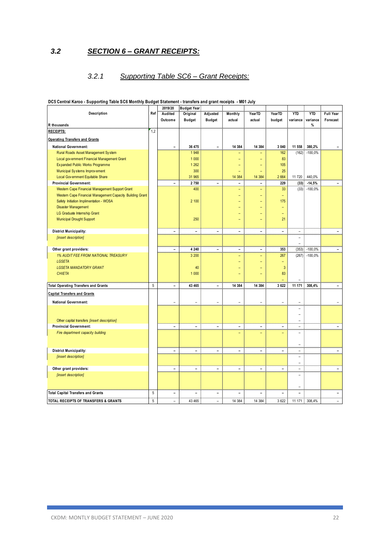### *3.2 SECTION 6 – GRANT RECEIPTS:*

### *3.2.1 Supporting Table SC6 – Grant Receipts:*

|                                                           |            | 2019/20                      | <b>Budget Year</b>       |                              |                |                          |                          |                          |            |                          |
|-----------------------------------------------------------|------------|------------------------------|--------------------------|------------------------------|----------------|--------------------------|--------------------------|--------------------------|------------|--------------------------|
| Description                                               | Ref        | Audited                      | Original                 | Adjusted                     | Monthly        | YearTD                   | YearTD                   | <b>YTD</b>               | <b>YTD</b> | <b>Full Year</b>         |
|                                                           |            | Outcome                      | <b>Budget</b>            | <b>Budget</b>                | actual         | actual                   | budget                   | variance                 | variance   | Forecast                 |
| R thousands                                               |            |                              |                          |                              |                |                          |                          |                          | %          |                          |
| <b>RECEIPTS:</b>                                          | 1,2        |                              |                          |                              |                |                          |                          |                          |            |                          |
| <b>Operating Transfers and Grants</b>                     |            |                              |                          |                              |                |                          |                          |                          |            |                          |
| <b>National Government:</b>                               |            | Ē,                           | 36 475                   | $\blacksquare$               | 14 3 84        | 14 3 84                  | 3 0 4 0                  | 11 558                   | 380,2%     |                          |
| Rural Roads Asset Management System                       |            |                              | 1948                     |                              |                |                          | 162                      | (162)                    | $-100,0%$  |                          |
| Local government Financial Management Grant               |            |                              | 1 0 0 0                  |                              |                | ۳                        | 83                       |                          |            |                          |
| Expanded Public Works Programme                           |            |                              | 1 2 6 2                  |                              |                |                          | 105                      |                          |            |                          |
| Municipal Systems Improvement                             |            |                              | 300                      |                              |                | $=$                      | 25                       |                          |            |                          |
| Local Gov ernment Equitable Share                         |            |                              | 31 965                   |                              | 14 384         | 14 3 84                  | 2 6 6 4                  | 11 720                   | 440,0%     |                          |
| <b>Provincial Government:</b>                             |            | ÷,                           | 2750                     | $\blacksquare$               | $\overline{a}$ | $\overline{a}$           | 229                      | (33)                     | $-14,5%$   | $\blacksquare$           |
| Western Cape Financial Management Support Grant           |            |                              | 400                      |                              | $\equiv$       | $\equiv$                 | 33                       | (33)                     | $-100,0%$  |                          |
| Western Cape Financial Management Capacity Building Grant |            |                              |                          |                              |                |                          | ÷                        |                          |            |                          |
| Safety Initiation Implimentation - WOSA                   |            |                              | 2 100                    |                              |                |                          | 175                      |                          |            |                          |
| Disaster Management                                       |            |                              |                          |                              |                |                          |                          |                          |            |                          |
| LG Graduate Internship Grant                              |            |                              |                          |                              |                |                          |                          |                          |            |                          |
| <b>Municipal Drought Support</b>                          |            |                              | 250                      |                              |                |                          | 21                       |                          |            |                          |
|                                                           |            |                              |                          |                              |                |                          |                          |                          |            |                          |
| <b>District Municipality:</b>                             |            | $\overline{\phantom{a}}$     | $\overline{\phantom{0}}$ | $\overline{\phantom{a}}$     | $\blacksquare$ | $\blacksquare$           | $\overline{\phantom{a}}$ | $\overline{\phantom{a}}$ |            | $\overline{\phantom{a}}$ |
| [insert description]                                      |            |                              |                          |                              |                |                          |                          | $\equiv$                 |            |                          |
|                                                           |            |                              |                          |                              |                |                          |                          | $\equiv$                 |            |                          |
| Other grant providers:                                    |            | $\blacksquare$               | 4 2 4 0                  | $\blacksquare$               | $\blacksquare$ | $\overline{\phantom{a}}$ | 353                      | (353)                    | $-100,0%$  | $\blacksquare$           |
| 1% AUDIT FEE FROM NATIONAL TREASURY                       |            |                              | 3 200                    |                              | Ξ              | $\overline{a}$           | 267                      | (267)                    | $-100,0%$  |                          |
| <b>LGSETA</b>                                             |            |                              |                          |                              |                |                          | $\overline{\phantom{0}}$ |                          |            |                          |
| <b>LGSETA MANDATORY GRANT</b>                             |            |                              | 40                       |                              |                |                          | 3                        |                          |            |                          |
| <b>CHIETA</b>                                             |            |                              | 1 0 0 0                  |                              |                |                          | 83                       |                          |            |                          |
|                                                           |            |                              |                          |                              |                |                          |                          |                          |            |                          |
| <b>Total Operating Transfers and Grants</b>               | 5          | ÷,                           | 43 465                   | ÷                            | 14 384         | 14 3 8 4                 | 3622                     | 11 171                   | 308,4%     | $\blacksquare$           |
| <b>Capital Transfers and Grants</b>                       |            |                              |                          |                              |                |                          |                          |                          |            |                          |
|                                                           |            |                              |                          |                              |                |                          |                          |                          |            |                          |
| <b>National Government:</b>                               |            | ÷                            | ÷                        | ÷,                           | ÷              | ۳                        | ÷                        | ÷.                       |            | ٠                        |
|                                                           |            |                              |                          |                              |                |                          |                          | ۰                        |            |                          |
|                                                           |            |                              |                          |                              |                |                          |                          | ۰                        |            |                          |
| Other capital transfers [insert description]              |            |                              |                          |                              |                |                          |                          | $\equiv$                 |            |                          |
| <b>Provincial Government:</b>                             |            | $\blacksquare$               | ÷                        | $\blacksquare$               | $\blacksquare$ | $\overline{\phantom{a}}$ | $\equiv$                 | $\overline{\phantom{a}}$ |            | Ξ.                       |
| Fire department capacity building                         |            |                              |                          |                              |                |                          |                          | $\equiv$                 |            |                          |
|                                                           |            |                              |                          |                              |                |                          |                          |                          |            |                          |
|                                                           |            |                              |                          |                              |                |                          |                          | ۰                        |            |                          |
| <b>District Municipality:</b>                             |            | $\qquad \qquad \blacksquare$ | ÷,                       | $\blacksquare$               | ÷,             | $\overline{\phantom{a}}$ | $\blacksquare$           | ÷                        |            | $\blacksquare$           |
| [insert description]                                      |            |                              |                          |                              |                |                          |                          | ۰                        |            |                          |
|                                                           |            |                              |                          |                              |                |                          |                          | ۳                        |            |                          |
| Other grant providers:                                    |            | $\overline{a}$               | ۳                        | $\overline{a}$               | ÷.             | $\overline{a}$           | $\sim$                   | $\equiv$                 |            | ۳                        |
| [insert description]                                      |            |                              |                          |                              |                |                          |                          | ۰                        |            |                          |
|                                                           |            |                              |                          |                              |                |                          |                          |                          |            |                          |
|                                                           |            |                              |                          |                              |                |                          |                          | $\overline{\phantom{0}}$ |            |                          |
| <b>Total Capital Transfers and Grants</b>                 | $\sqrt{5}$ | $\overline{\phantom{0}}$     | $\rightarrow$            | $\qquad \qquad \blacksquare$ | $\equiv$       | ۳                        | $\equiv$                 | ۳                        |            | $\blacksquare$           |
| TOTAL RECEIPTS OF TRANSFERS & GRANTS                      | 5          | -                            | 43 465                   |                              | 14 384         | 14 3 84                  | 3622                     | 11 171                   | 308.4%     |                          |

### **DC5 Central Karoo - Supporting Table SC6 Monthly Budget Statement - transfers and grant receipts - M01 July**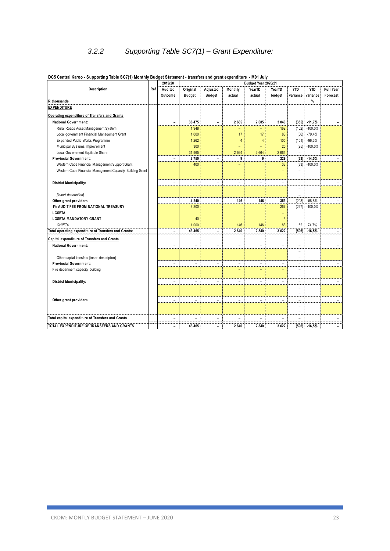# *3.2.2 Supporting Table SC7(1) – Grant Expenditure:*

|                                                           |     | 2019/20                      |                          |                              |                          | Budget Year 2020/21 |                          |                          |            |                          |
|-----------------------------------------------------------|-----|------------------------------|--------------------------|------------------------------|--------------------------|---------------------|--------------------------|--------------------------|------------|--------------------------|
| Description                                               | Ref | Audited                      | Original                 | Adjusted                     | Monthly                  | YearTD              | YearTD                   | <b>YTD</b>               | <b>YTD</b> | <b>Full Year</b>         |
|                                                           |     | Outcome                      | <b>Budget</b>            | <b>Budget</b>                | actual                   | actual              | budget                   | variance                 | variance   | Forecast                 |
| R thousands                                               |     |                              |                          |                              |                          |                     |                          |                          | %          |                          |
| <b>EXPENDITURE</b>                                        |     |                              |                          |                              |                          |                     |                          |                          |            |                          |
| Operating expenditure of Transfers and Grants             |     |                              |                          |                              |                          |                     |                          |                          |            |                          |
| <b>National Government:</b>                               |     | $\equiv$                     | 36 475                   | $\overline{\phantom{a}}$     | 2 6 8 5                  | 2685                | 3 0 4 0                  | (355)                    | $-11,7%$   | ÷.                       |
| Rural Roads Asset Management System                       |     |                              | 1948                     |                              | ۰                        | ۳                   | 162                      | (162)                    | $-100,0%$  |                          |
| Local government Financial Management Grant               |     |                              | 1 0 0 0                  |                              | 17                       | 17                  | 83                       | (66)                     | $-79,4%$   |                          |
| Expanded Public Works Programme                           |     |                              | 1 2 6 2                  |                              | $\overline{A}$           | $\overline{4}$      | 105                      | (101)                    | $-96,3%$   |                          |
| Municipal Systems Improvement                             |     |                              | 300                      |                              |                          | ÷                   | 25                       | (25)                     | $-100,0%$  |                          |
| Local Gov ernment Equitable Share                         |     |                              | 31 965                   |                              | 2 6 6 4                  | 2664                | 2 6 6 4                  |                          |            |                          |
| <b>Provincial Government:</b>                             |     | $\overline{\phantom{a}}$     | 2 7 5 0                  | $\blacksquare$               | 9                        | 9                   | 229                      | (33)                     | $-14,5%$   | $\equiv$                 |
| Western Cape Financial Management Support Grant           |     |                              | 400                      |                              |                          |                     | 33                       | (33)                     | $-100,0%$  |                          |
| Western Cape Financial Management Capacity Building Grant |     |                              |                          |                              |                          |                     |                          |                          |            |                          |
|                                                           |     |                              |                          |                              |                          |                     |                          |                          |            |                          |
| <b>District Municipality:</b>                             |     | $\equiv$                     | $\equiv$                 | $\blacksquare$               | $\equiv$                 | $\blacksquare$      | $\equiv$                 | $\overline{\phantom{m}}$ |            |                          |
|                                                           |     |                              |                          |                              |                          |                     |                          | ÷,                       |            |                          |
| [insert description]                                      |     |                              |                          |                              |                          |                     |                          | $\equiv$                 |            |                          |
| Other grant providers:                                    |     | $\overline{\phantom{0}}$     | 4 2 4 0                  | $\blacksquare$               | 146                      | 146                 | 353                      | (208)                    | $-58,8%$   |                          |
| <b>1% AUDIT FEE FROM NATIONAL TREASURY</b>                |     |                              | 3 200                    |                              |                          |                     | 267                      | (267)                    | $-100,0%$  |                          |
| <b>LGSETA</b>                                             |     |                              |                          |                              |                          |                     |                          |                          |            |                          |
| <b>LGSETA MANDATORY GRANT</b>                             |     |                              | 40                       |                              |                          |                     | 3                        |                          |            |                          |
| <b>CHIETA</b>                                             |     |                              | 1 0 0 0                  |                              | 146                      | 146                 | 83                       | 62                       | 74,7%      |                          |
| Total operating expenditure of Transfers and Grants:      |     | $\qquad \qquad \blacksquare$ | 43 465                   | $\qquad \qquad \blacksquare$ | 2 8 4 0                  | 2840                | 3622                     | (596)                    | $-16,5%$   | $\overline{\phantom{a}}$ |
| <b>Capital expenditure of Transfers and Grants</b>        |     |                              |                          |                              |                          |                     |                          |                          |            |                          |
| <b>National Government:</b>                               |     | $\overline{a}$               | ۳                        | $\overline{\phantom{a}}$     | L.                       | ۳                   | $\overline{\phantom{0}}$ | ۰                        |            |                          |
|                                                           |     |                              |                          |                              |                          |                     |                          | ÷                        |            |                          |
| Other capital transfers [insert description]              |     |                              |                          |                              |                          |                     |                          | $\overline{\phantom{0}}$ |            |                          |
| <b>Provincial Government:</b>                             |     | $\overline{\phantom{0}}$     | ۰                        | $\blacksquare$               | ۰                        | $\equiv$            |                          | ۰                        |            | ۰                        |
| Fire department capacity building                         |     |                              |                          |                              |                          | ۰                   |                          | $\equiv$                 |            |                          |
|                                                           |     |                              |                          |                              |                          |                     |                          | $\overline{\phantom{0}}$ |            |                          |
| <b>District Municipality:</b>                             |     | $\blacksquare$               | $\overline{\phantom{0}}$ | $\overline{a}$               | $\blacksquare$           | $\mathbf{r}$        | ٠                        | $\overline{\phantom{0}}$ |            | $\overline{a}$           |
|                                                           |     |                              |                          |                              |                          |                     |                          | ٠                        |            |                          |
|                                                           |     |                              |                          |                              |                          |                     |                          | $\overline{\phantom{0}}$ |            |                          |
| Other grant providers:                                    |     | $\blacksquare$               | ÷                        | $\blacksquare$               | $\overline{\phantom{0}}$ | $\blacksquare$      | $\blacksquare$           | $\overline{\phantom{a}}$ |            | $\blacksquare$           |
|                                                           |     |                              |                          |                              |                          |                     |                          | ÷.                       |            |                          |
|                                                           |     |                              |                          |                              |                          |                     |                          | -                        |            |                          |
| Total capital expenditure of Transfers and Grants         |     | $\blacksquare$               |                          | $\overline{\phantom{0}}$     |                          | ۳                   |                          | ÷                        |            |                          |
| TOTAL EXPENDITURE OF TRANSFERS AND GRANTS                 |     | $\blacksquare$               | 43 4 65                  | $\blacksquare$               | 2 8 4 0                  | 2840                | 3622                     | (596)                    | $-16,5%$   |                          |

### **DC5 Central Karoo - Supporting Table SC7(1) Monthly Budget Statement - transfers and grant expenditure - M01 July**